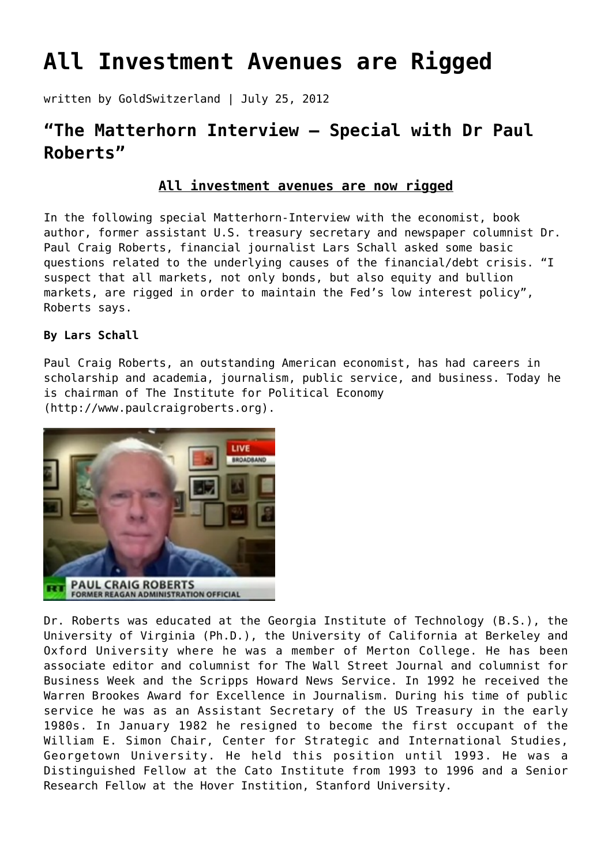# **[All Investment Avenues are Rigged](https://goldswitzerland.com/all-investment-avenues-are-rigged/)**

written by GoldSwitzerland | July 25, 2012

# **"The Matterhorn Interview – Special with Dr Paul Roberts"**

## **All investment avenues are now rigged**

In the following special Matterhorn-Interview with the economist, book author, former assistant U.S. treasury secretary and newspaper columnist Dr. Paul Craig Roberts, financial journalist Lars Schall asked some basic questions related to the underlying causes of the financial/debt crisis. "I suspect that all markets, not only bonds, but also equity and bullion markets, are rigged in order to maintain the Fed's low interest policy", Roberts says.

### **By Lars Schall**

Paul Craig Roberts, an outstanding American economist, has had careers in scholarship and academia, journalism, public service, and business. Today he is chairman of The Institute for Political Economy [\(http://www.paulcraigroberts.org](http://www.paulcraigroberts.org)).



Dr. Roberts was educated at the Georgia Institute of Technology (B.S.), the University of Virginia (Ph.D.), the University of California at Berkeley and Oxford University where he was a member of Merton College. He has been associate editor and columnist for The Wall Street Journal and columnist for Business Week and the Scripps Howard News Service. In 1992 he received the Warren Brookes Award for Excellence in Journalism. During his time of public service he was as an Assistant Secretary of the US Treasury in the early 1980s. In January 1982 he resigned to become the first occupant of the William E. Simon Chair, Center for Strategic and International Studies, Georgetown University. He held this position until 1993. He was a Distinguished Fellow at the Cato Institute from 1993 to 1996 and a Senior Research Fellow at the Hover Instition, Stanford University.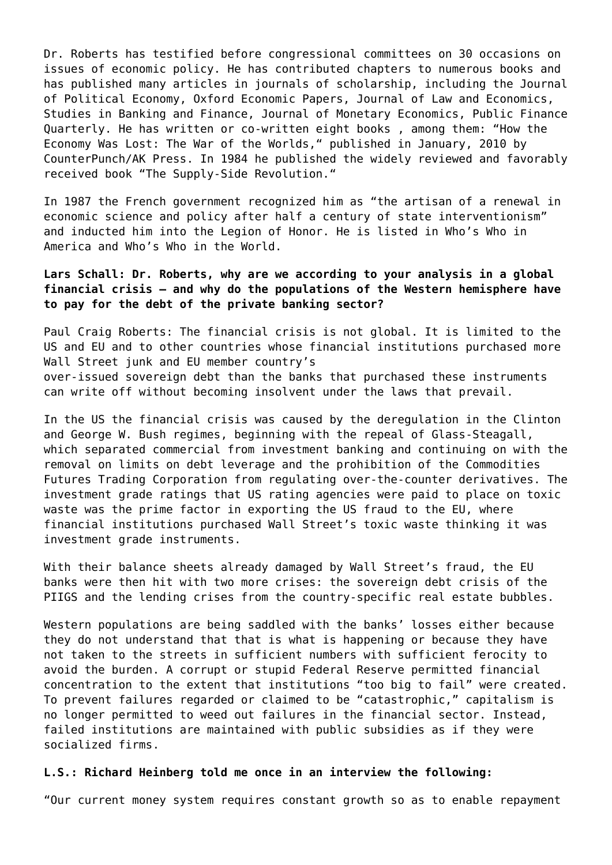Dr. Roberts has testified before congressional committees on 30 occasions on issues of economic policy. He has contributed chapters to numerous books and has published many articles in journals of scholarship, including the Journal of Political Economy, Oxford Economic Papers, Journal of Law and Economics, Studies in Banking and Finance, Journal of Monetary Economics, Public Finance Quarterly. He has written or co-written eight books , among them: "How the Economy Was Lost: The War of the Worlds," published in January, 2010 by CounterPunch/AK Press. In 1984 he published the widely reviewed and favorably received book "The Supply-Side Revolution."

In 1987 the French government recognized him as "the artisan of a renewal in economic science and policy after half a century of state interventionism" and inducted him into the Legion of Honor. He is listed in Who's Who in America and Who's Who in the World.

#### **Lars Schall: Dr. Roberts, why are we according to your analysis in a global financial crisis – and why do the populations of the Western hemisphere have to pay for the debt of the private banking sector?**

Paul Craig Roberts: The financial crisis is not global. It is limited to the US and EU and to other countries whose financial institutions purchased more Wall Street junk and EU member country's over-issued sovereign debt than the banks that purchased these instruments can write off without becoming insolvent under the laws that prevail.

In the US the financial crisis was caused by the deregulation in the Clinton and George W. Bush regimes, beginning with the repeal of Glass-Steagall, which separated commercial from investment banking and continuing on with the removal on limits on debt leverage and the prohibition of the Commodities Futures Trading Corporation from regulating over-the-counter derivatives. The investment grade ratings that US rating agencies were paid to place on toxic waste was the prime factor in exporting the US fraud to the EU, where financial institutions purchased Wall Street's toxic waste thinking it was investment grade instruments.

With their balance sheets already damaged by Wall Street's fraud, the EU banks were then hit with two more crises: the sovereign debt crisis of the PIIGS and the lending crises from the country-specific real estate bubbles.

Western populations are being saddled with the banks' losses either because they do not understand that that is what is happening or because they have not taken to the streets in sufficient numbers with sufficient ferocity to avoid the burden. A corrupt or stupid Federal Reserve permitted financial concentration to the extent that institutions "too big to fail" were created. To prevent failures regarded or claimed to be "catastrophic," capitalism is no longer permitted to weed out failures in the financial sector. Instead, failed institutions are maintained with public subsidies as if they were socialized firms.

#### **L.S.: Richard Heinberg told me once in an interview the following:**

"Our current money system requires constant growth so as to enable repayment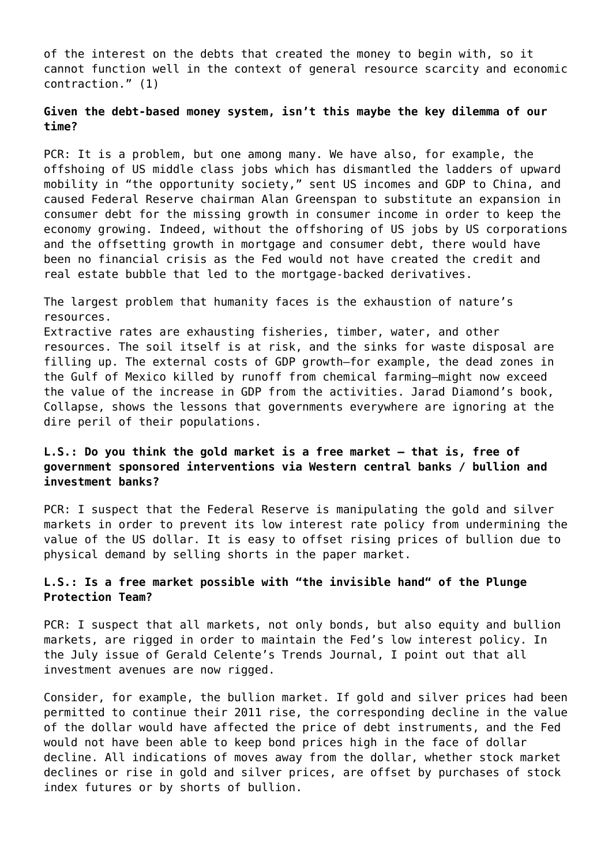of the interest on the debts that created the money to begin with, so it cannot function well in the context of general resource scarcity and economic contraction." (1)

#### **Given the debt-based money system, isn't this maybe the key dilemma of our time?**

PCR: It is a problem, but one among many. We have also, for example, the offshoing of US middle class jobs which has dismantled the ladders of upward mobility in "the opportunity society," sent US incomes and GDP to China, and caused Federal Reserve chairman Alan Greenspan to substitute an expansion in consumer debt for the missing growth in consumer income in order to keep the economy growing. Indeed, without the offshoring of US jobs by US corporations and the offsetting growth in mortgage and consumer debt, there would have been no financial crisis as the Fed would not have created the credit and real estate bubble that led to the mortgage-backed derivatives.

The largest problem that humanity faces is the exhaustion of nature's resources. Extractive rates are exhausting fisheries, timber, water, and other resources. The soil itself is at risk, and the sinks for waste disposal are filling up. The external costs of GDP growth–for example, the dead zones in the Gulf of Mexico killed by runoff from chemical farming–might now exceed the value of the increase in GDP from the activities. Jarad Diamond's book, Collapse, shows the lessons that governments everywhere are ignoring at the dire peril of their populations.

#### **L.S.: Do you think the gold market is a free market – that is, free of government sponsored interventions via Western central banks / bullion and investment banks?**

PCR: I suspect that the Federal Reserve is manipulating the gold and silver markets in order to prevent its low interest rate policy from undermining the value of the US dollar. It is easy to offset rising prices of bullion due to physical demand by selling shorts in the paper market.

#### **L.S.: Is a free market possible with "the invisible hand" of the Plunge Protection Team?**

PCR: I suspect that all markets, not only bonds, but also equity and bullion markets, are rigged in order to maintain the Fed's low interest policy. In the July issue of Gerald Celente's Trends Journal, I point out that all investment avenues are now rigged.

Consider, for example, the bullion market. If gold and silver prices had been permitted to continue their 2011 rise, the corresponding decline in the value of the dollar would have affected the price of debt instruments, and the Fed would not have been able to keep bond prices high in the face of dollar decline. All indications of moves away from the dollar, whether stock market declines or rise in gold and silver prices, are offset by purchases of stock index futures or by shorts of bullion.